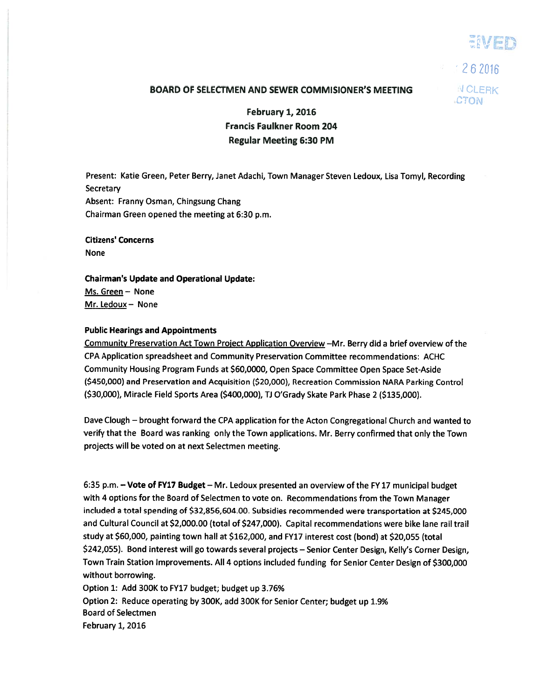iVED

 $262016$ **CTON** 

## BOARD OF SELECTMEN AND SEWER COMMISIONER'S MEETING AND CLERK

February 1, 2016 Francis Faulkner Room 204 Regular Meeting 6:30 PM

Present: Katie Green, Peter Berry, Janet Adachi, Town Manager Steven Ledoux, Lisa Tomyl, Recording **Secretary** Absent: Franny Osman, Chingsung Chang Chairman Green opened the meeting at 6:30 p.m.

Citizens' Concerns None

Chairman's Update and Operational Update: Ms. Green — None Mr. Ledoux— None

## Public Hearings and Appointments

Community Preservation Act Town Project Application Overview —Mr. Berry did <sup>a</sup> brief overview of the CPA Application spreadsheet and Community Preservation Committee recommendations: ACHC Community Housing Program Funds at \$60,0000, Open Space Committee Open Space Set-Aside (\$450,000) and Preservation and Acquisition (\$20,000), Recreation Commission NARA Parking Control (\$30,000), Miracle Field Sports Area (\$400,000), Ti O'Grady Skate Park Phase 2 (\$135,000).

Dave Clough — brought forward the CPA application for the Acton Congregational Church and wanted to verify that the Board was ranking only the Town applications. Mr. Berry confirmed that only the Town projects will be voted on at next Selectmen meeting.

6:35 p.m. —Vote of FY17 Budget — Mr. Ledoux presented an overview of the FY17 municipal budget with <sup>4</sup> options for the Board of Selectmen to vote on. Recommendations from the Town Manager included <sup>a</sup> total spending of \$32,856,604.00. Subsidies recommended were transportation at \$245,000 and Cultural Council at \$2,000.00 (total of \$247,000). Capital recommendations were bike lane rail trail study at \$60,000, painting town hall at \$162,000, and FY17 interest cost (bond) at \$20,055 (total \$242,055). Bond interest will go towards several projects — Senior Center Design, Kelly's Corner Design, Town Train Station Improvements. All <sup>4</sup> options included funding for Senior Center Design of \$300,000 without borrowing.

Option 1: Add 300K to FY17 budget; budget up 3.76% Option 2: Reduce operating by 300K, add 300K for Senior Center; budget up 1.9% Board of Selectmen February 1, 2016